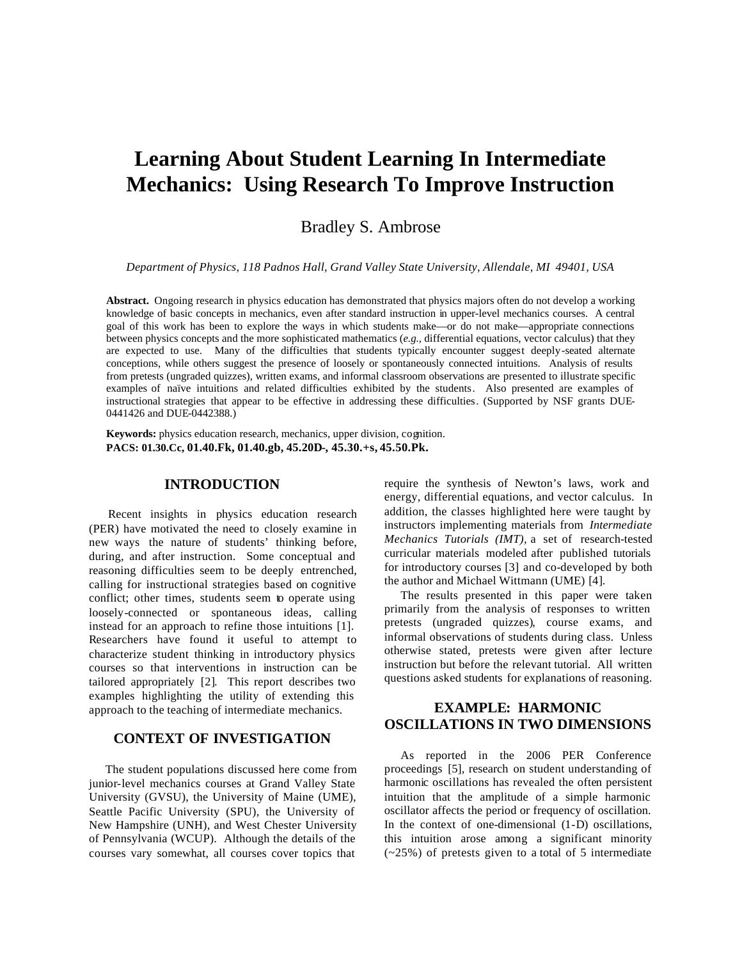# **Learning About Student Learning In Intermediate Mechanics: Using Research To Improve Instruction**

Bradley S. Ambrose

*Department of Physics, 118 Padnos Hall, Grand Valley State University, Allendale, MI 49401, USA*

**Abstract.** Ongoing research in physics education has demonstrated that physics majors often do not develop a working knowledge of basic concepts in mechanics, even after standard instruction in upper-level mechanics courses. A central goal of this work has been to explore the ways in which students make—or do not make—appropriate connections between physics concepts and the more sophisticated mathematics (*e.g.,* differential equations, vector calculus) that they are expected to use. Many of the difficulties that students typically encounter suggest deeply-seated alternate conceptions, while others suggest the presence of loosely or spontaneously connected intuitions. Analysis of results from pretests (ungraded quizzes), written exams, and informal classroom observations are presented to illustrate specific examples of naïve intuitions and related difficulties exhibited by the students. Also presented are examples of instructional strategies that appear to be effective in addressing these difficulties. (Supported by NSF grants DUE-0441426 and DUE-0442388.)

**Keywords:** physics education research, mechanics, upper division, cognition. **PACS: 01.30.Cc, 01.40.Fk, 01.40.gb, 45.20D-, 45.30.+s, 45.50.Pk.**

#### **INTRODUCTION**

Recent insights in physics education research (PER) have motivated the need to closely examine in new ways the nature of students' thinking before, during, and after instruction. Some conceptual and reasoning difficulties seem to be deeply entrenched, calling for instructional strategies based on cognitive conflict; other times, students seem to operate using loosely-connected or spontaneous ideas, calling instead for an approach to refine those intuitions [1]. Researchers have found it useful to attempt to characterize student thinking in introductory physics courses so that interventions in instruction can be tailored appropriately [2]. This report describes two examples highlighting the utility of extending this approach to the teaching of intermediate mechanics.

#### **CONTEXT OF INVESTIGATION**

The student populations discussed here come from junior-level mechanics courses at Grand Valley State University (GVSU), the University of Maine (UME), Seattle Pacific University (SPU), the University of New Hampshire (UNH), and West Chester University of Pennsylvania (WCUP). Although the details of the courses vary somewhat, all courses cover topics that

require the synthesis of Newton's laws, work and energy, differential equations, and vector calculus. In addition, the classes highlighted here were taught by instructors implementing materials from *Intermediate Mechanics Tutorials (IMT),* a set of research-tested curricular materials modeled after published tutorials for introductory courses [3] and co-developed by both the author and Michael Wittmann (UME) [4].

The results presented in this paper were taken primarily from the analysis of responses to written pretests (ungraded quizzes), course exams, and informal observations of students during class. Unless otherwise stated, pretests were given after lecture instruction but before the relevant tutorial. All written questions asked students for explanations of reasoning.

# **EXAMPLE: HARMONIC OSCILLATIONS IN TWO DIMENSIONS**

As reported in the 2006 PER Conference proceedings [5], research on student understanding of harmonic oscillations has revealed the often persistent intuition that the amplitude of a simple harmonic oscillator affects the period or frequency of oscillation. In the context of one-dimensional (1-D) oscillations, this intuition arose among a significant minority (~25%) of pretests given to a total of 5 intermediate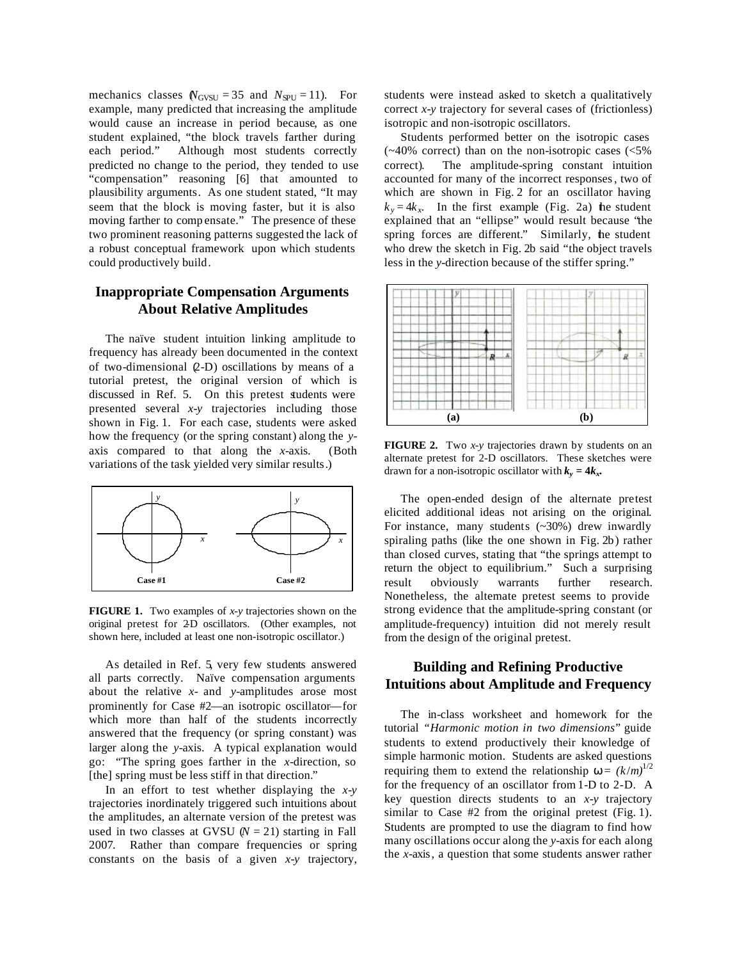mechanics classes  $N_{\text{GVSU}} = 35$  and  $N_{\text{SPU}} = 11$ ). For example, many predicted that increasing the amplitude would cause an increase in period because, as one student explained, "the block travels farther during each period." Although most students correctly predicted no change to the period, they tended to use "compensation" reasoning [6] that amounted to plausibility arguments. As one student stated, "It may seem that the block is moving faster, but it is also moving farther to comp ensate." The presence of these two prominent reasoning patterns suggested the lack of a robust conceptual framework upon which students could productively build.

## **Inappropriate Compensation Arguments About Relative Amplitudes**

The naïve student intuition linking amplitude to frequency has already been documented in the context of two-dimensional (2-D) oscillations by means of a tutorial pretest, the original version of which is discussed in Ref. 5. On this pretest students were presented several *x-y* trajectories including those shown in Fig. 1. For each case, students were asked how the frequency (or the spring constant) along the *y*axis compared to that along the *x*-axis. (Both variations of the task yielded very similar results.)



**FIGURE 1.** Two examples of *x-y* trajectories shown on the original pretest for 2-D oscillators. (Other examples, not shown here, included at least one non-isotropic oscillator.)

As detailed in Ref. 5, very few students answered all parts correctly. Naïve compensation arguments about the relative *x*- and *y*-amplitudes arose most prominently for Case #2—an isotropic oscillator—for which more than half of the students incorrectly answered that the frequency (or spring constant) was larger along the *y*-axis. A typical explanation would go: "The spring goes farther in the *x*-direction, so [the] spring must be less stiff in that direction."

In an effort to test whether displaying the *x-y* trajectories inordinately triggered such intuitions about the amplitudes, an alternate version of the pretest was used in two classes at GVSU  $(N = 21)$  starting in Fall 2007. Rather than compare frequencies or spring constants on the basis of a given *x-y* trajectory, students were instead asked to sketch a qualitatively correct *x-y* trajectory for several cases of (frictionless) isotropic and non-isotropic oscillators.

Students performed better on the isotropic cases  $(-40\%$  correct) than on the non-isotropic cases  $(<5\%$ correct). The amplitude-spring constant intuition accounted for many of the incorrect responses, two of which are shown in Fig. 2 for an oscillator having  $k_y = 4k_x$ . In the first example (Fig. 2a) the student explained that an "ellipse" would result because "the spring forces are different." Similarly, he student who drew the sketch in Fig. 2b said "the object travels less in the *y*-direction because of the stiffer spring."



**FIGURE 2.** Two *x-y* trajectories drawn by students on an alternate pretest for 2-D oscillators. These sketches were drawn for a non-isotropic oscillator with  $k_y = 4k_x$ .

The open-ended design of the alternate pretest elicited additional ideas not arising on the original. For instance, many students (~30%) drew inwardly spiraling paths (like the one shown in Fig. 2b) rather than closed curves, stating that "the springs attempt to return the object to equilibrium." Such a surprising result obviously warrants further research. Nonetheless, the alternate pretest seems to provide strong evidence that the amplitude-spring constant (or amplitude-frequency) intuition did not merely result from the design of the original pretest.

# **Building and Refining Productive Intuitions about Amplitude and Frequency**

The in-class worksheet and homework for the tutorial *"Harmonic motion in two dimensions"* guide students to extend productively their knowledge of simple harmonic motion. Students are asked questions requiring them to extend the relationship  $w = (k/m)^{1/2}$ for the frequency of an oscillator from 1-D to 2-D. A key question directs students to an *x-y* trajectory similar to Case #2 from the original pretest (Fig. 1). Students are prompted to use the diagram to find how many oscillations occur along the *y*-axis for each along the *x*-axis, a question that some students answer rather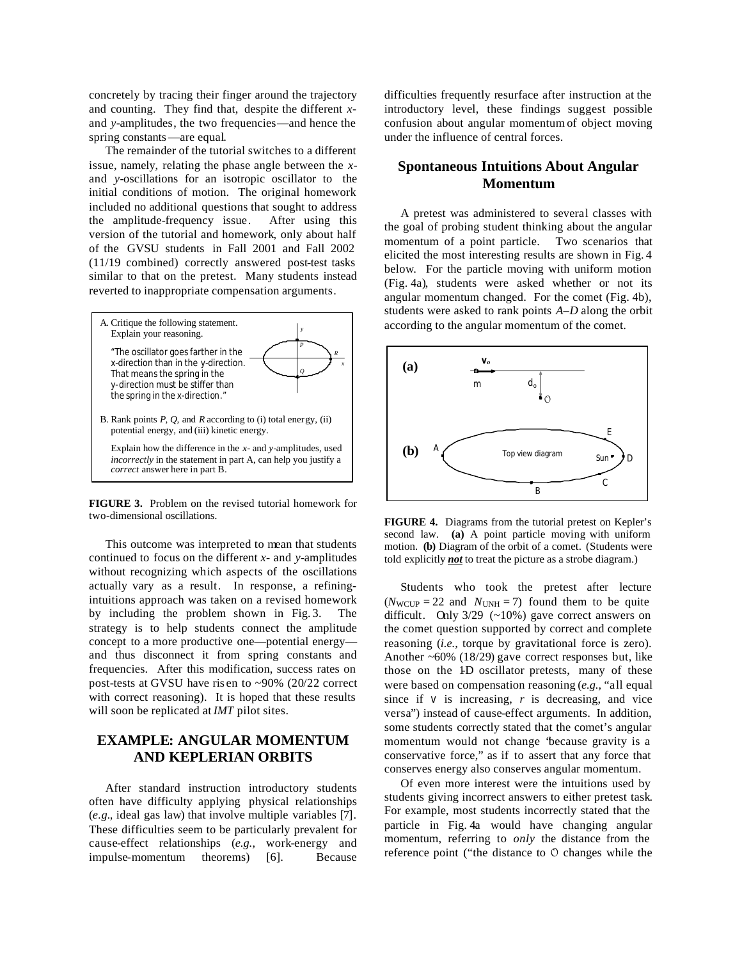concretely by tracing their finger around the trajectory and counting. They find that, despite the different *x*and *y*-amplitudes, the two frequencies—and hence the spring constants—are equal.

The remainder of the tutorial switches to a different issue, namely, relating the phase angle between the *x*and *y*-oscillations for an isotropic oscillator to the initial conditions of motion. The original homework included no additional questions that sought to address the amplitude-frequency issue. After using this version of the tutorial and homework, only about half of the GVSU students in Fall 2001 and Fall 2002 (11/19 combined) correctly answered post-test tasks similar to that on the pretest. Many students instead reverted to inappropriate compensation arguments.



**FIGURE 3.** Problem on the revised tutorial homework for two-dimensional oscillations.

This outcome was interpreted to mean that students continued to focus on the different *x*- and *y*-amplitudes without recognizing which aspects of the oscillations actually vary as a result. In response, a refiningintuitions approach was taken on a revised homework by including the problem shown in Fig. 3. The strategy is to help students connect the amplitude concept to a more productive one—potential energy and thus disconnect it from spring constants and frequencies. After this modification, success rates on post-tests at GVSU have ris en to ~90% (20/22 correct with correct reasoning). It is hoped that these results will soon be replicated at *IMT* pilot sites.

# **EXAMPLE: ANGULAR MOMENTUM AND KEPLERIAN ORBITS**

After standard instruction introductory students often have difficulty applying physical relationships (*e.g.,* ideal gas law) that involve multiple variables [7]. These difficulties seem to be particularly prevalent for cause-effect relationships (*e.g.,* work-energy and impulse-momentum theorems) [6]. Because difficulties frequently resurface after instruction at the introductory level, these findings suggest possible confusion about angular momentum of object moving under the influence of central forces.

# **Spontaneous Intuitions About Angular Momentum**

A pretest was administered to several classes with the goal of probing student thinking about the angular momentum of a point particle. Two scenarios that elicited the most interesting results are shown in Fig. 4 below. For the particle moving with uniform motion (Fig. 4a), students were asked whether or not its angular momentum changed. For the comet (Fig. 4b), students were asked to rank points *A*–*D* along the orbit according to the angular momentum of the comet.



**FIGURE 4.** Diagrams from the tutorial pretest on Kepler's second law. **(a)** A point particle moving with uniform motion. **(b)** Diagram of the orbit of a comet. (Students were told explicitly *not* to treat the picture as a strobe diagram.)

Students who took the pretest after lecture  $(N_{\text{WCIIP}} = 22$  and  $N_{\text{UNH}} = 7$ ) found them to be quite difficult. Only  $3/29$  (~10%) gave correct answers on the comet question supported by correct and complete reasoning (*i.e.,* torque by gravitational force is zero). Another ~60% (18/29) gave correct responses but, like those on the 1D oscillator pretests, many of these were based on compensation reasoning (*e.g.,* "all equal since if  $v$  is increasing,  $r$  is decreasing, and vice versa") instead of cause-effect arguments. In addition, some students correctly stated that the comet's angular momentum would not change "because gravity is a conservative force," as if to assert that any force that conserves energy also conserves angular momentum.

Of even more interest were the intuitions used by students giving incorrect answers to either pretest task. For example, most students incorrectly stated that the particle in Fig. 4a would have changing angular momentum, referring to *only* the distance from the reference point ("the distance to *O* changes while the